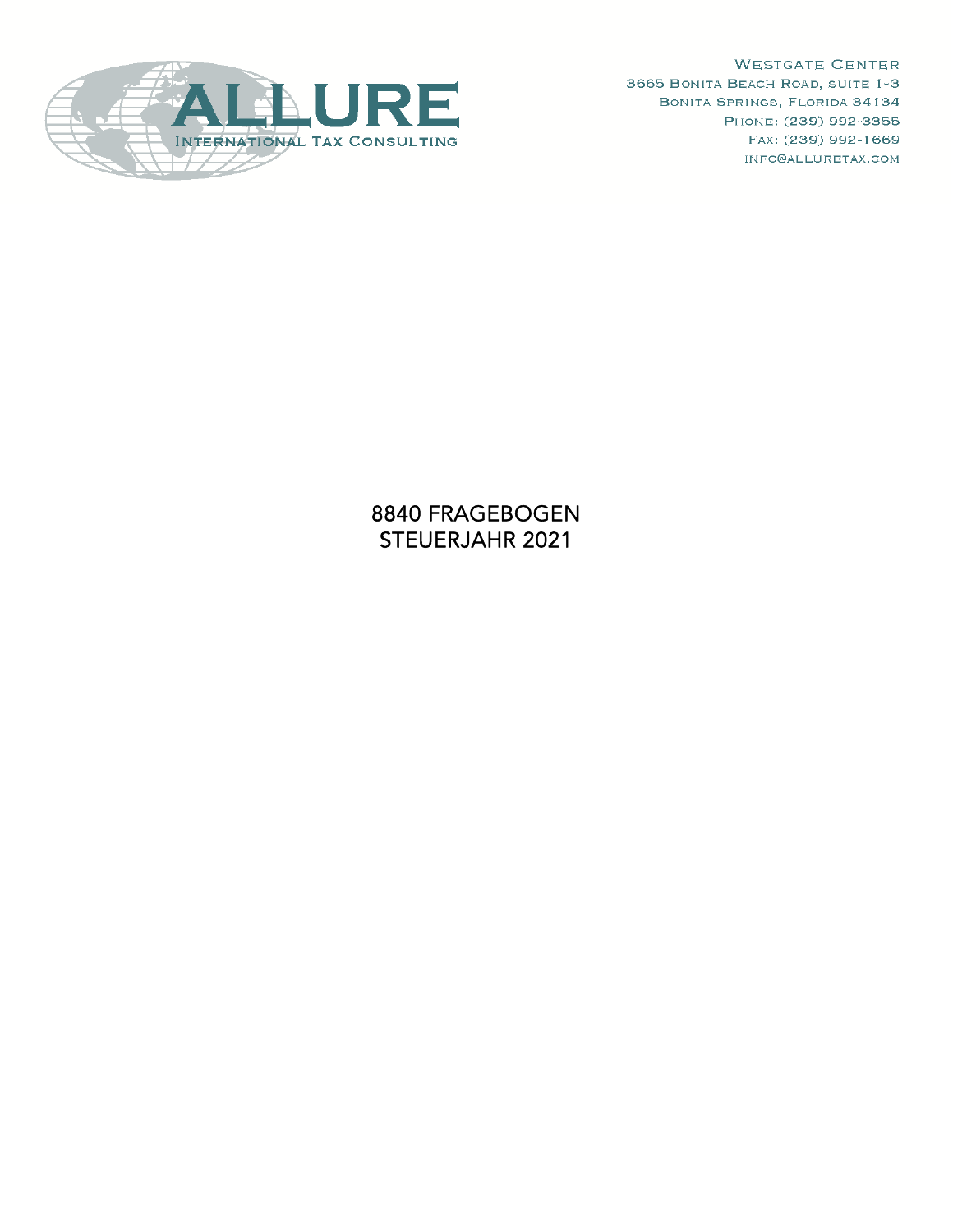

**WESTGATE CENTER** 3665 BONITA BEACH ROAD, SUITE 1-3 BONITA SPRINGS, FLORIDA 34134 PHONE: (239) 992-3355 FAX: (239) 992-1669 INFO@ALLURETAX.COM

8840 FRAGEBOGEN STEUERJAHR 2021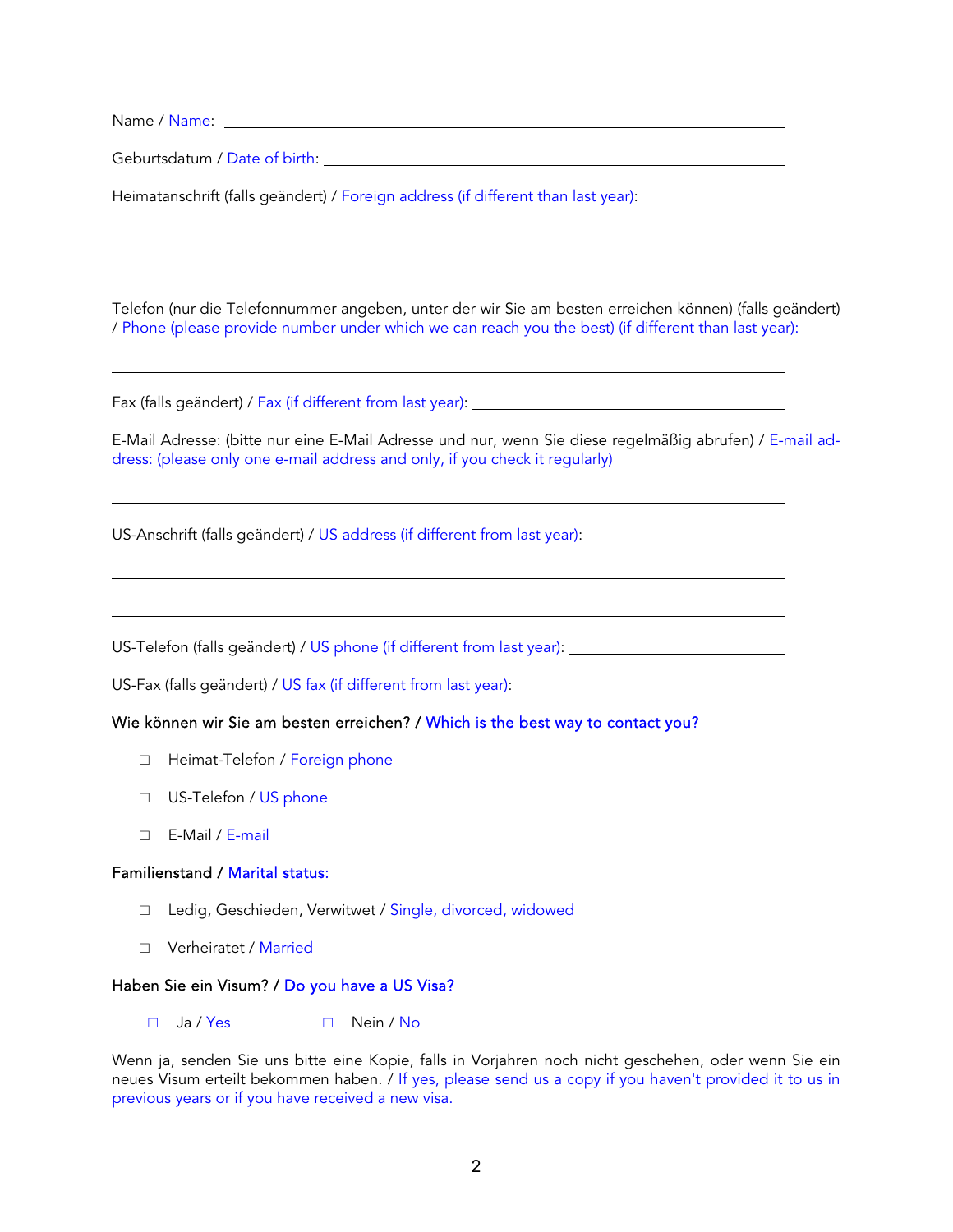Name / Name:

 $\overline{a}$ 

 $\overline{a}$ 

 $\overline{a}$ 

 $\overline{a}$ 

 $\overline{a}$ 

Geburtsdatum / Date of birth:

Heimatanschrift (falls geändert) / Foreign address (if different than last year):

Telefon (nur die Telefonnummer angeben, unter der wir Sie am besten erreichen können) (falls geändert) / Phone (please provide number under which we can reach you the best) (if different than last year):

Fax (falls geändert) / Fax (if different from last year):

E-Mail Adresse: (bitte nur eine E-Mail Adresse und nur, wenn Sie diese regelmäßig abrufen) / E-mail address: (please only one e-mail address and only, if you check it regularly)

US-Anschrift (falls geändert) / US address (if different from last year):

US-Telefon (falls geändert) / US phone (if different from last year):

US-Fax (falls geändert) / US fax (if different from last year):

## Wie können wir Sie am besten erreichen? / Which is the best way to contact you?

- □ Heimat-Telefon / Foreign phone
- □ US-Telefon / US phone
- $\Box$  F-Mail / F-mail

## Familienstand / Marital status:

- □ Ledig, Geschieden, Verwitwet / Single, divorced, widowed
- □ Verheiratet / Married

## Haben Sie ein Visum? / Do you have a US Visa?

□ Ja / Yes □ Nein / No

Wenn ja, senden Sie uns bitte eine Kopie, falls in Vorjahren noch nicht geschehen, oder wenn Sie ein neues Visum erteilt bekommen haben. / If yes, please send us a copy if you haven't provided it to us in previous years or if you have received a new visa.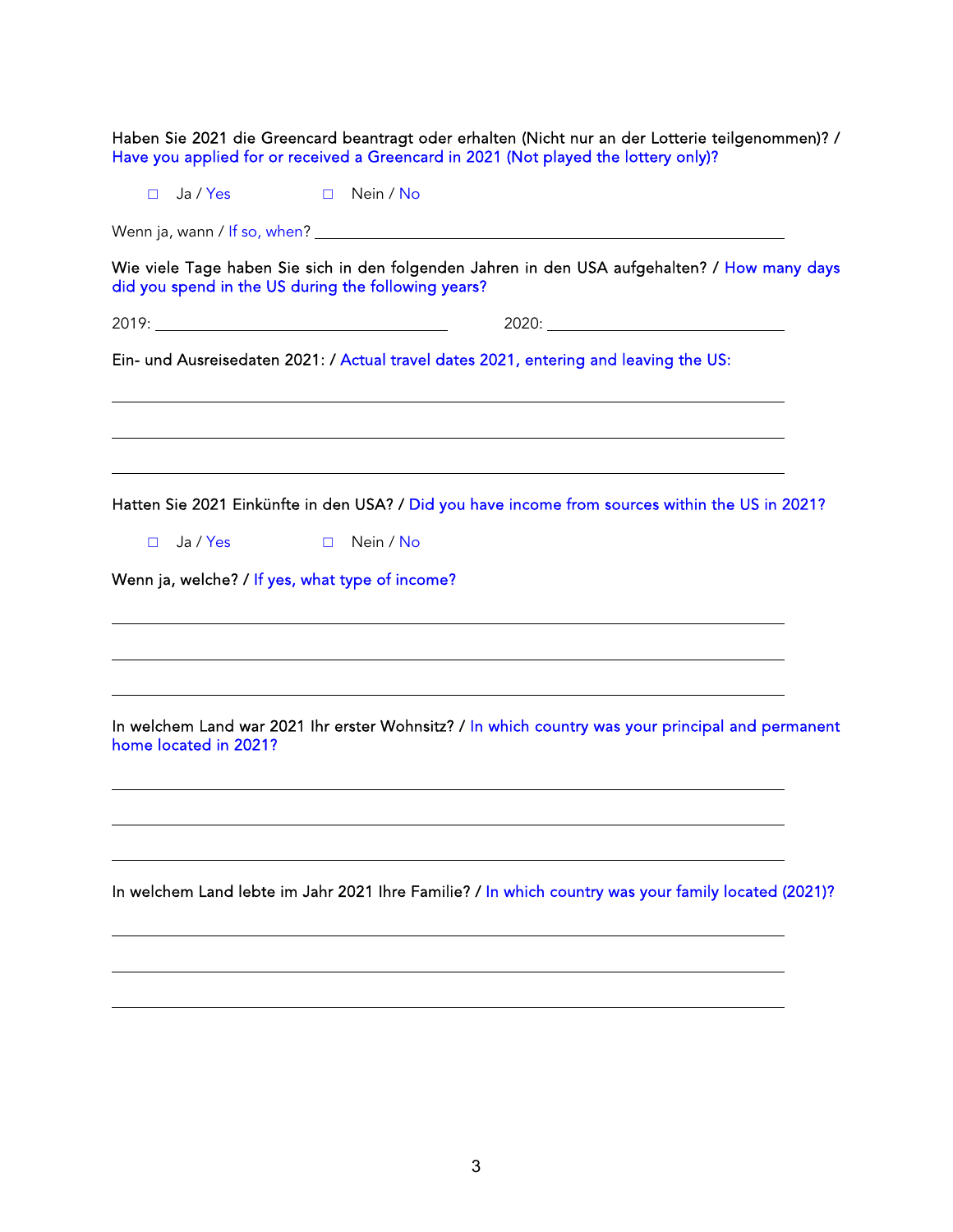|                                                                                                                           | Haben Sie 2021 die Greencard beantragt oder erhalten (Nicht nur an der Lotterie teilgenommen)? /<br>Have you applied for or received a Greencard in 2021 (Not played the lottery only)?                                                                 |
|---------------------------------------------------------------------------------------------------------------------------|---------------------------------------------------------------------------------------------------------------------------------------------------------------------------------------------------------------------------------------------------------|
| Ja / Yes and the state of the state of the state of the state of the state of the state of the state of the sta<br>$\Box$ | Nein / No<br>$\Box$                                                                                                                                                                                                                                     |
|                                                                                                                           |                                                                                                                                                                                                                                                         |
|                                                                                                                           | Wie viele Tage haben Sie sich in den folgenden Jahren in den USA aufgehalten? / How many days<br>did you spend in the US during the following years?                                                                                                    |
|                                                                                                                           |                                                                                                                                                                                                                                                         |
|                                                                                                                           | Ein- und Ausreisedaten 2021: / Actual travel dates 2021, entering and leaving the US:                                                                                                                                                                   |
| Ja / Yes<br>$\Box$                                                                                                        | <u> 1989 - Johann Stoff, deutscher Stoffen und der Stoffen und der Stoffen und der Stoffen und der Stoffen und de</u><br>Hatten Sie 2021 Einkünfte in den USA? / Did you have income from sources within the US in 2021?<br>Nein / No<br>$\Box$         |
|                                                                                                                           | Wenn ja, welche? / If yes, what type of income?<br>and the control of the control of the control of the control of the control of the control of the control of the<br>,我们也不会有什么。""我们的人,我们也不会有什么?""我们的人,我们也不会有什么?""我们的人,我们也不会有什么?""我们的人,我们也不会有什么?""我们的人 |
| home located in 2021?                                                                                                     | <u> 1989 - Andrea Barbara, Amerikaansk politiker (d. 1989)</u><br>In welchem Land war 2021 Ihr erster Wohnsitz? / In which country was your principal and permanent                                                                                     |
|                                                                                                                           | In welchem Land lebte im Jahr 2021 Ihre Familie? / In which country was your family located (2021)?                                                                                                                                                     |
|                                                                                                                           |                                                                                                                                                                                                                                                         |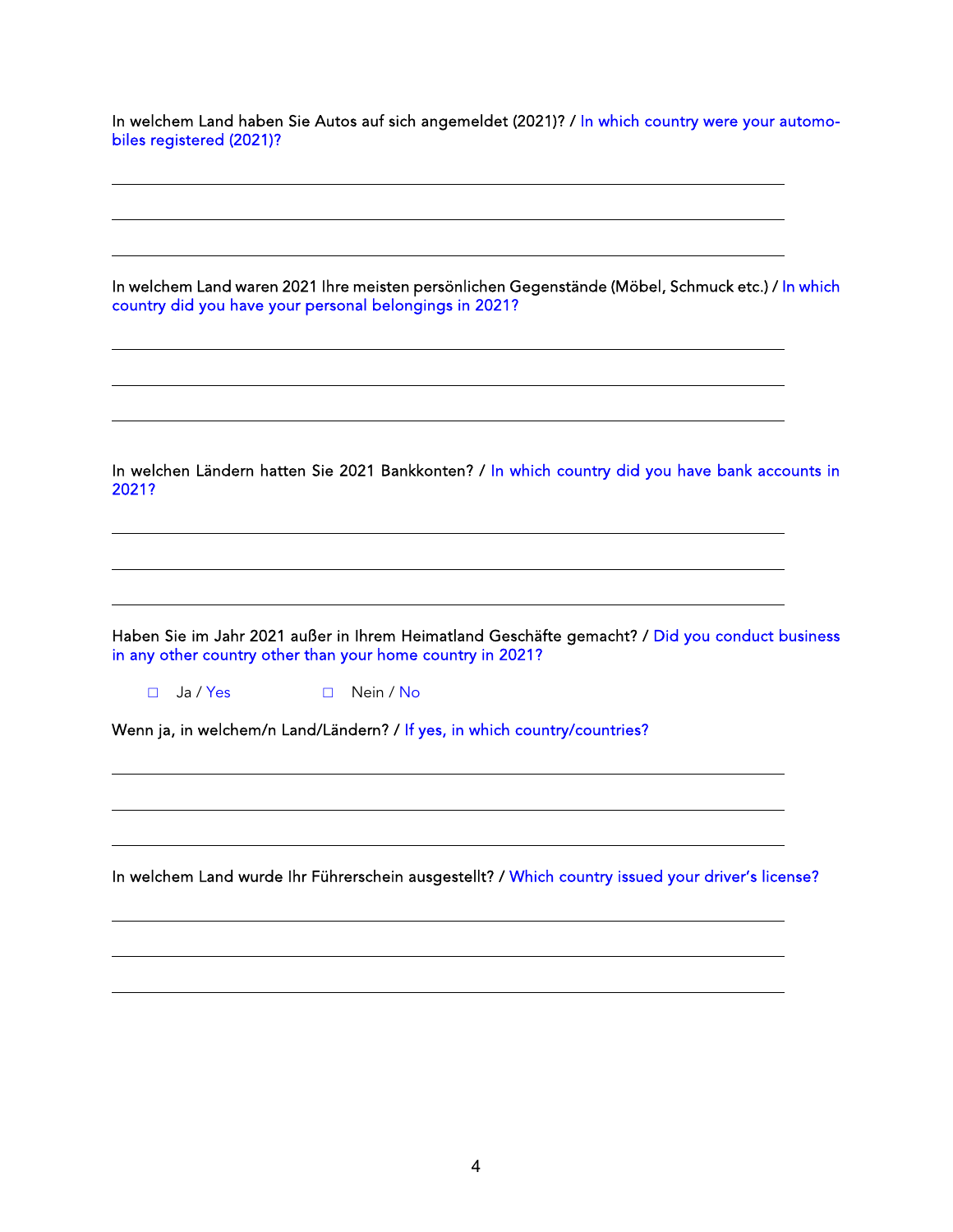In welchem Land haben Sie Autos auf sich angemeldet (2021)? / In which country were your automobiles registered (2021)?

In welchem Land waren 2021 Ihre meisten persönlichen Gegenstände (Möbel, Schmuck etc.) / In which country did you have your personal belongings in 2021?

In welchen Ländern hatten Sie 2021 Bankkonten? / In which country did you have bank accounts in 2021?

the control of the control of the control of the control of the control of the control of the control of the control of the control of the control of the control of the control of the control of the control of the control

Haben Sie im Jahr 2021 außer in Ihrem Heimatland Geschäfte gemacht? / Did you conduct business in any other country other than your home country in 2021?

□ Ja / Yes □ Nein / No

 $\overline{a}$ 

 $\overline{a}$ 

 $\overline{a}$ 

 $\overline{a}$ 

 $\overline{a}$ 

Wenn ja, in welchem/n Land/Ländern? / If yes, in which country/countries?

In welchem Land wurde Ihr Führerschein ausgestellt? / Which country issued your driver's license?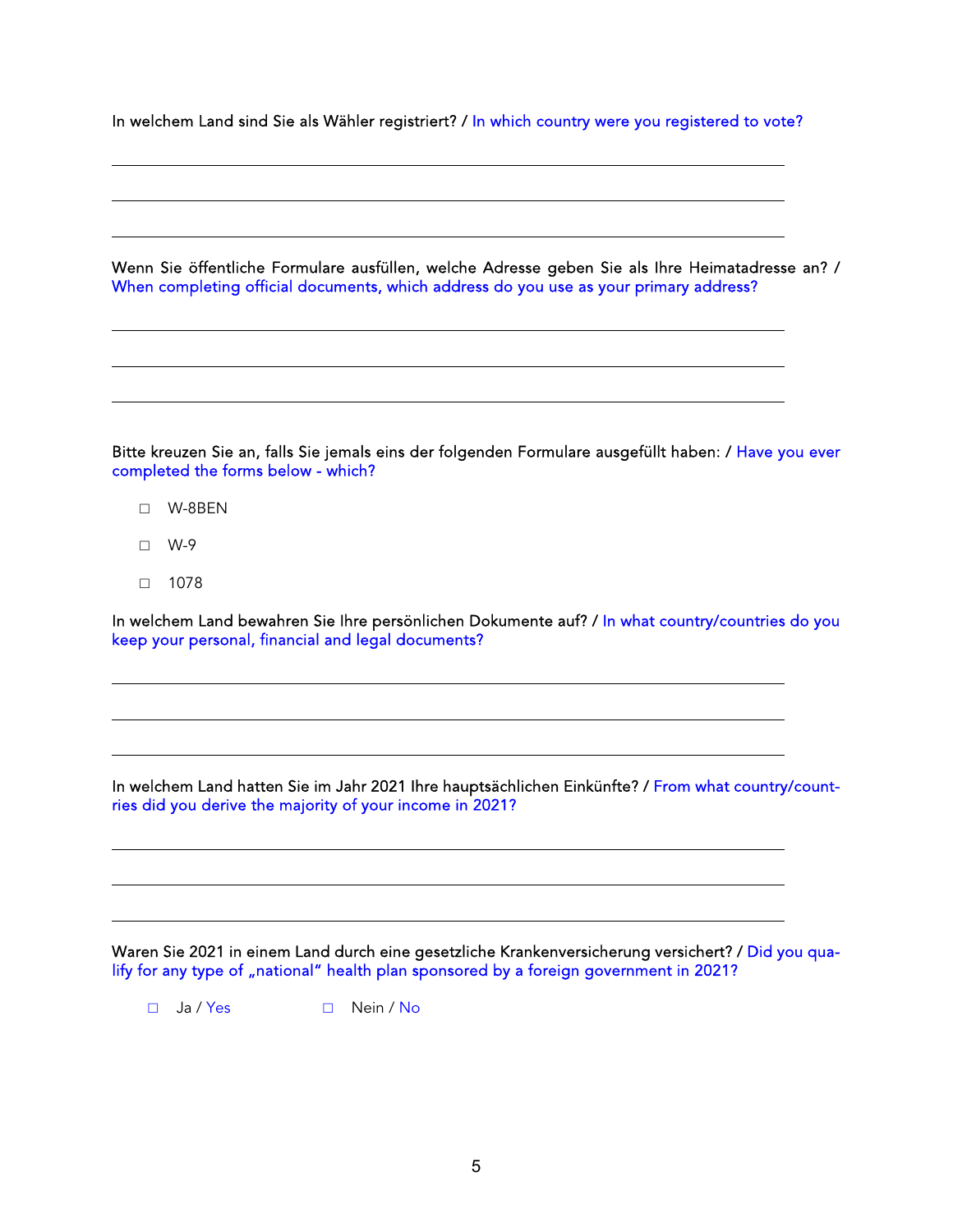In welchem Land sind Sie als Wähler registriert? / In which country were you registered to vote?

Wenn Sie öffentliche Formulare ausfüllen, welche Adresse geben Sie als Ihre Heimatadresse an? / When completing official documents, which address do you use as your primary address?

Bitte kreuzen Sie an, falls Sie jemals eins der folgenden Formulare ausgefüllt haben: / Have you ever completed the forms below - which?

- □ W-8BEN
- □ W-9

 $\overline{a}$ 

 $\overline{a}$ 

 $\overline{a}$ 

 $\overline{a}$ 

 $\overline{a}$ 

□ 1078

In welchem Land bewahren Sie Ihre persönlichen Dokumente auf? / In what country/countries do you keep your personal, financial and legal documents?

In welchem Land hatten Sie im Jahr 2021 Ihre hauptsächlichen Einkünfte? / From what country/countries did you derive the majority of your income in 2021?

Waren Sie 2021 in einem Land durch eine gesetzliche Krankenversicherung versichert? / Did you qualify for any type of "national" health plan sponsored by a foreign government in 2021?

□ Ja / Yes □ Nein / No